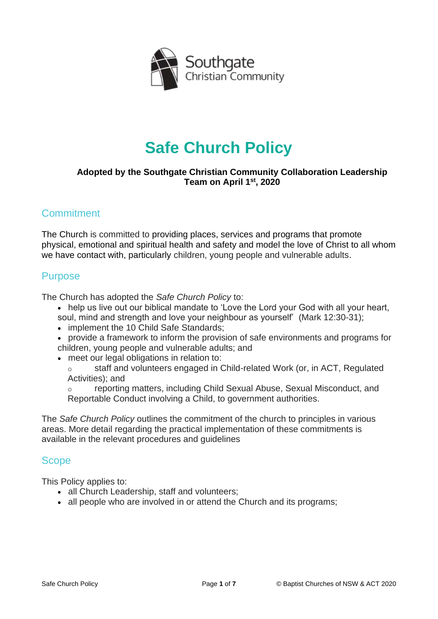

# **Safe Church Policy**

#### **Adopted by the Southgate Christian Community Collaboration Leadership Team on April 1st, 2020**

### **Commitment**

The Church is committed to providing places, services and programs that promote physical, emotional and spiritual health and safety and model the love of Christ to all whom we have contact with, particularly children, young people and vulnerable adults.

### Purpose

The Church has adopted the *Safe Church Policy* to:

- help us live out our biblical mandate to 'Love the Lord your God with all your heart,
- soul, mind and strength and love your neighbour as yourself' (Mark 12:30-31);
- implement the 10 Child Safe Standards:
- provide a framework to inform the provision of safe environments and programs for children, young people and vulnerable adults; and
- meet our legal obligations in relation to:

o staff and volunteers engaged in Child-related Work (or, in ACT, Regulated Activities); and

reporting matters, including Child Sexual Abuse, Sexual Misconduct, and Reportable Conduct involving a Child, to government authorities.

The *Safe Church Policy* outlines the commitment of the church to principles in various areas. More detail regarding the practical implementation of these commitments is available in the relevant procedures and guidelines

### Scope

This Policy applies to:

- all Church Leadership, staff and volunteers;
- all people who are involved in or attend the Church and its programs;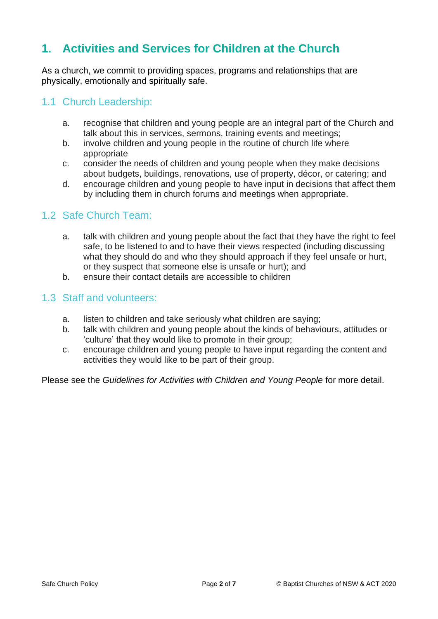## **1. Activities and Services for Children at the Church**

As a church, we commit to providing spaces, programs and relationships that are physically, emotionally and spiritually safe.

### 1.1 Church Leadership:

- a. recognise that children and young people are an integral part of the Church and talk about this in services, sermons, training events and meetings;
- b. involve children and young people in the routine of church life where appropriate
- c. consider the needs of children and young people when they make decisions about budgets, buildings, renovations, use of property, décor, or catering; and
- d. encourage children and young people to have input in decisions that affect them by including them in church forums and meetings when appropriate.

### 1.2 Safe Church Team:

- a. talk with children and young people about the fact that they have the right to feel safe, to be listened to and to have their views respected (including discussing what they should do and who they should approach if they feel unsafe or hurt, or they suspect that someone else is unsafe or hurt); and
- b. ensure their contact details are accessible to children

### 1.3 Staff and volunteers:

- a. listen to children and take seriously what children are saying;
- b. talk with children and young people about the kinds of behaviours, attitudes or 'culture' that they would like to promote in their group;
- c. encourage children and young people to have input regarding the content and activities they would like to be part of their group.

Please see the *Guidelines for Activities with Children and Young People* for more detail.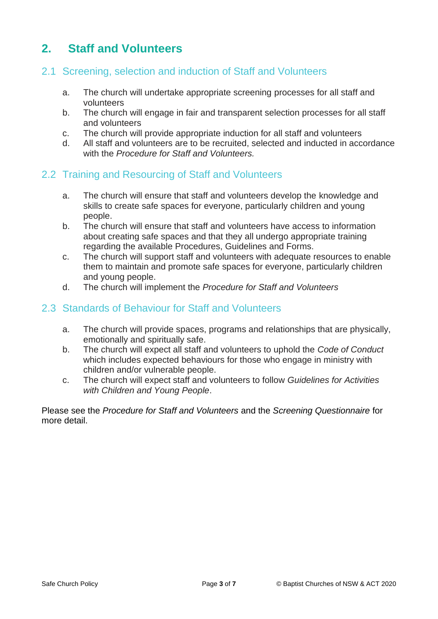# **2. Staff and Volunteers**

### 2.1 Screening, selection and induction of Staff and Volunteers

- a. The church will undertake appropriate screening processes for all staff and volunteers
- b. The church will engage in fair and transparent selection processes for all staff and volunteers
- c. The church will provide appropriate induction for all staff and volunteers
- d. All staff and volunteers are to be recruited, selected and inducted in accordance with the *Procedure for Staff and Volunteers.*

### 2.2 Training and Resourcing of Staff and Volunteers

- a. The church will ensure that staff and volunteers develop the knowledge and skills to create safe spaces for everyone, particularly children and young people.
- b. The church will ensure that staff and volunteers have access to information about creating safe spaces and that they all undergo appropriate training regarding the available Procedures, Guidelines and Forms.
- c. The church will support staff and volunteers with adequate resources to enable them to maintain and promote safe spaces for everyone, particularly children and young people.
- d. The church will implement the *Procedure for Staff and Volunteers*

### 2.3 Standards of Behaviour for Staff and Volunteers

- a. The church will provide spaces, programs and relationships that are physically, emotionally and spiritually safe.
- b. The church will expect all staff and volunteers to uphold the *Code of Conduct* which includes expected behaviours for those who engage in ministry with children and/or vulnerable people.
- c. The church will expect staff and volunteers to follow *Guidelines for Activities with Children and Young People*.

Please see the *Procedure for Staff and Volunteers* and the *Screening Questionnaire* for more detail.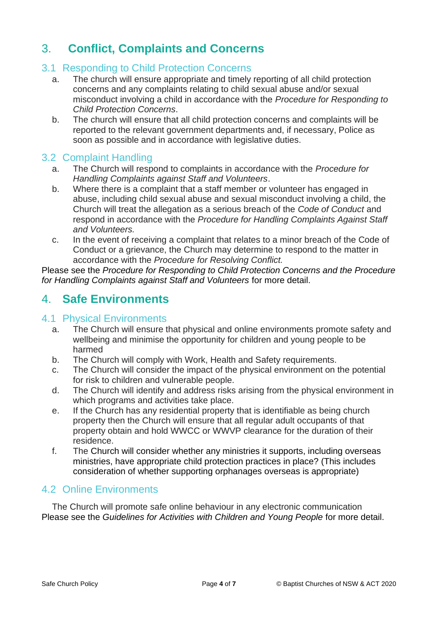# 3. **Conflict, Complaints and Concerns**

### 3.1 Responding to Child Protection Concerns

- a. The church will ensure appropriate and timely reporting of all child protection concerns and any complaints relating to child sexual abuse and/or sexual misconduct involving a child in accordance with the *Procedure for Responding to Child Protection Concerns*.
- b. The church will ensure that all child protection concerns and complaints will be reported to the relevant government departments and, if necessary, Police as soon as possible and in accordance with legislative duties.

### 3.2 Complaint Handling

- a. The Church will respond to complaints in accordance with the *Procedure for Handling Complaints against Staff and Volunteers*.
- b. Where there is a complaint that a staff member or volunteer has engaged in abuse, including child sexual abuse and sexual misconduct involving a child, the Church will treat the allegation as a serious breach of the *Code of Conduct* and respond in accordance with the *Procedure for Handling Complaints Against Staff and Volunteers.*
- c. In the event of receiving a complaint that relates to a minor breach of the Code of Conduct or a grievance, the Church may determine to respond to the matter in accordance with the *Procedure for Resolving Conflict.*

Please see the *Procedure for Responding to Child Protection Concerns and the Procedure for Handling Complaints against Staff and Volunteers* for more detail.

### 4. **Safe Environments**

### 4.1 Physical Environments

- a. The Church will ensure that physical and online environments promote safety and wellbeing and minimise the opportunity for children and young people to be harmed
- b. The Church will comply with Work, Health and Safety requirements.
- c. The Church will consider the impact of the physical environment on the potential for risk to children and vulnerable people.
- d. The Church will identify and address risks arising from the physical environment in which programs and activities take place.
- e. If the Church has any residential property that is identifiable as being church property then the Church will ensure that all regular adult occupants of that property obtain and hold WWCC or WWVP clearance for the duration of their residence.
- f. The Church will consider whether any ministries it supports, including overseas ministries, have appropriate child protection practices in place? (This includes consideration of whether supporting orphanages overseas is appropriate)

### 4.2 Online Environments

The Church will promote safe online behaviour in any electronic communication Please see the *Guidelines for Activities with Children and Young People* for more detail.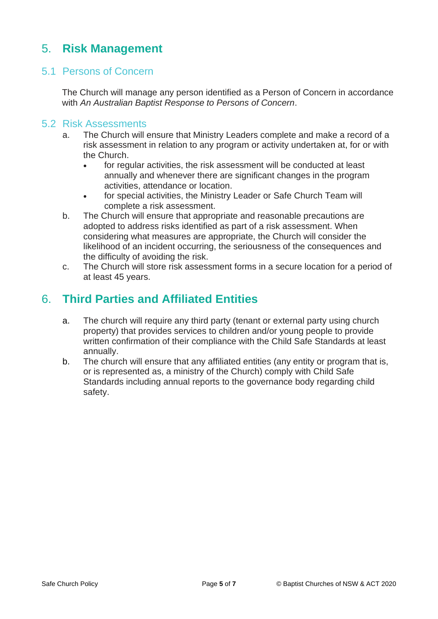# 5. **Risk Management**

### 5.1 Persons of Concern

The Church will manage any person identified as a Person of Concern in accordance with *An Australian Baptist Response to Persons of Concern*.

#### 5.2 Risk Assessments

- a. The Church will ensure that Ministry Leaders complete and make a record of a risk assessment in relation to any program or activity undertaken at, for or with the Church.
	- for regular activities, the risk assessment will be conducted at least annually and whenever there are significant changes in the program activities, attendance or location.
	- for special activities, the Ministry Leader or Safe Church Team will complete a risk assessment.
- b. The Church will ensure that appropriate and reasonable precautions are adopted to address risks identified as part of a risk assessment. When considering what measures are appropriate, the Church will consider the likelihood of an incident occurring, the seriousness of the consequences and the difficulty of avoiding the risk.
- c. The Church will store risk assessment forms in a secure location for a period of at least 45 years.

### 6. **Third Parties and Affiliated Entities**

- a. The church will require any third party (tenant or external party using church property) that provides services to children and/or young people to provide written confirmation of their compliance with the Child Safe Standards at least annually.
- b. The church will ensure that any affiliated entities (any entity or program that is, or is represented as, a ministry of the Church) comply with Child Safe Standards including annual reports to the governance body regarding child safety.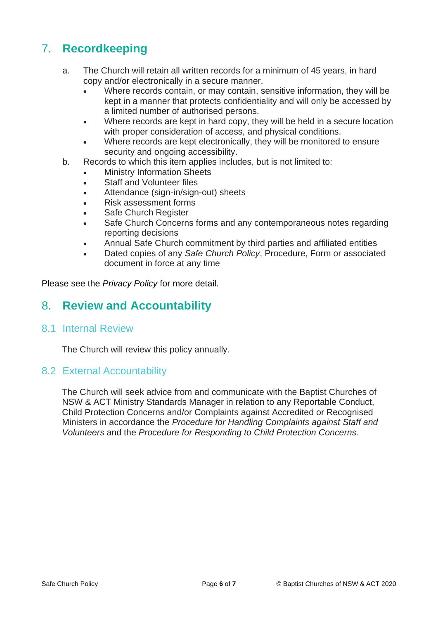# 7. **Recordkeeping**

- a. The Church will retain all written records for a minimum of 45 years, in hard copy and/or electronically in a secure manner.
	- Where records contain, or may contain, sensitive information, they will be kept in a manner that protects confidentiality and will only be accessed by a limited number of authorised persons.
	- Where records are kept in hard copy, they will be held in a secure location with proper consideration of access, and physical conditions.
	- Where records are kept electronically, they will be monitored to ensure security and ongoing accessibility.
- b. Records to which this item applies includes, but is not limited to:
	- **Ministry Information Sheets**
	- Staff and Volunteer files
	- Attendance (sign-in/sign-out) sheets
	- Risk assessment forms
	- Safe Church Register
	- Safe Church Concerns forms and any contemporaneous notes regarding reporting decisions
	- Annual Safe Church commitment by third parties and affiliated entities
	- Dated copies of any *Safe Church Policy*, Procedure, Form or associated document in force at any time

Please see the *Privacy Policy* for more detail.

### 8. **Review and Accountability**

### 8.1 Internal Review

The Church will review this policy annually.

### 8.2 External Accountability

The Church will seek advice from and communicate with the Baptist Churches of NSW & ACT Ministry Standards Manager in relation to any Reportable Conduct, Child Protection Concerns and/or Complaints against Accredited or Recognised Ministers in accordance the *Procedure for Handling Complaints against Staff and Volunteers* and the *Procedure for Responding to Child Protection Concerns*.